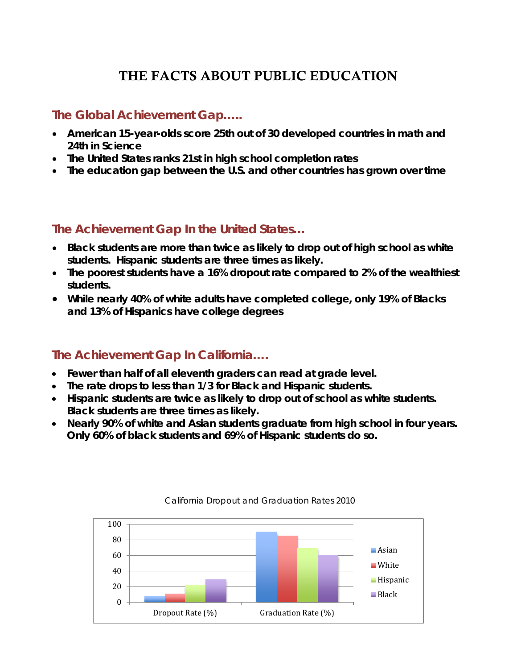# THE FACTS ABOUT PUBLIC EDUCATION

### **The Global Achievement Gap…..**

- **American 15-year-olds score 25th out of 30 developed countries in math and 24th in Science**
- **The United States ranks 21st in high school completion rates**
- **The education gap between the U.S. and other countries has grown over time**

### **The Achievement Gap In the United States…**

- **Black students are more than twice as likely to drop out of high school as white students. Hispanic students are three times as likely.**
- **The poorest students have a 16% dropout rate compared to 2% of the wealthiest students.**
- **While nearly 40% of white adults have completed college, only 19% of Blacks and 13% of Hispanics have college degrees**

### **The Achievement Gap In California….**

- **Fewer than half of all eleventh graders can read at grade level.**
- **The rate drops to less than 1/3 for Black and Hispanic students.**
- **Hispanic students are twice as likely to drop out of school as white students. Black students are three times as likely.**
- **Nearly 90% of white and Asian students graduate from high school in four years. Only 60% of black students and 69% of Hispanic students do so.**



California Dropout and Graduation Rates 2010